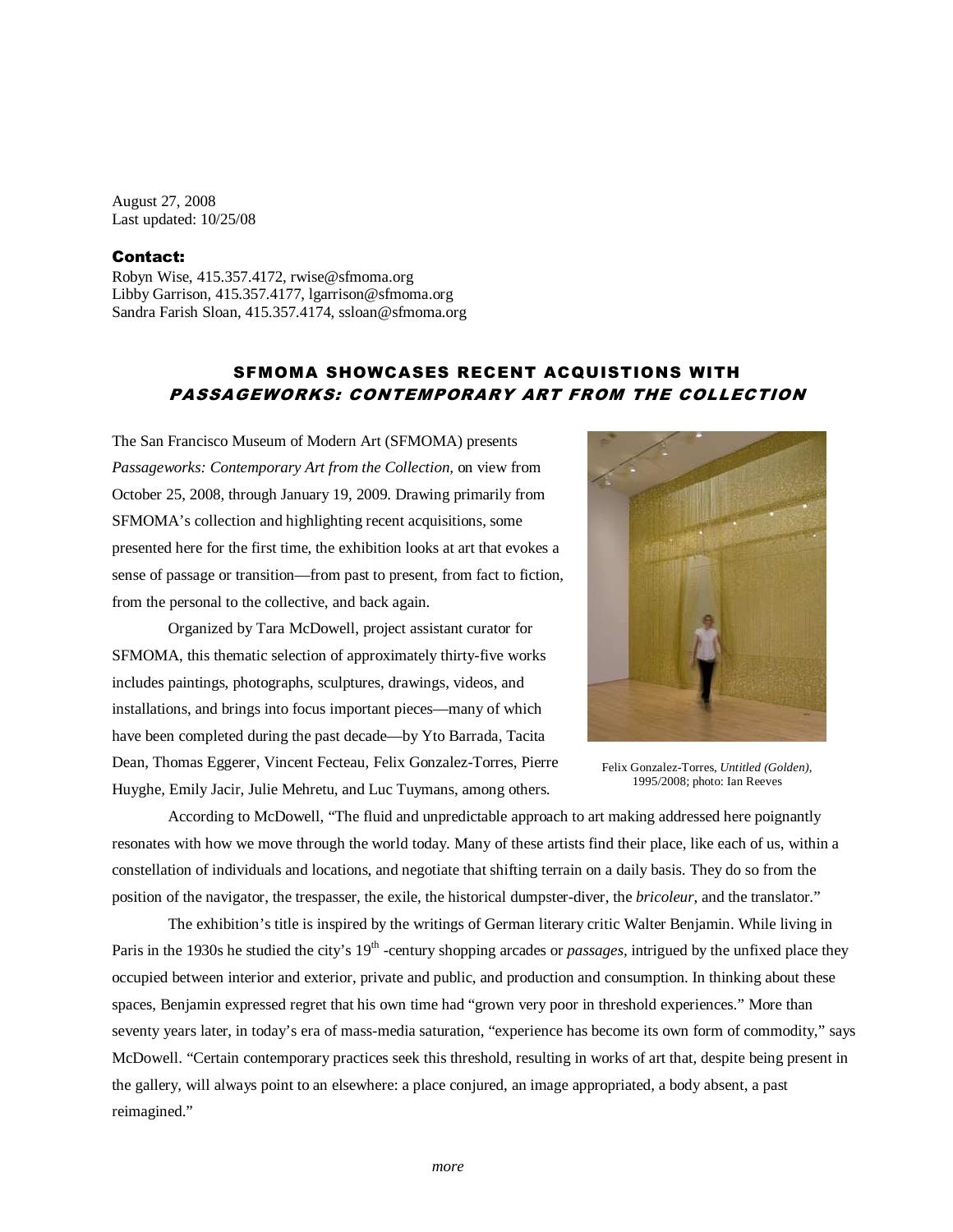August 27, 2008 Last updated: 10/25/08

## Contact:

Robyn Wise, 415.357.4172, rwise@sfmoma.org Libby Garrison, 415.357.4177, lgarrison@sfmoma.org Sandra Farish Sloan, 415.357.4174, ssloan@sfmoma.org

# SFMOMA SHOWCASES RECENT ACQUISTIONS WITH PASSAGEWORKS: CONTEMPORARY ART FROM THE COLLECTION

The San Francisco Museum of Modern Art (SFMOMA) presents *Passageworks: Contemporary Art from the Collection,* on view from October 25, 2008, through January 19, 2009. Drawing primarily from SFMOMA's collection and highlighting recent acquisitions, some presented here for the first time, the exhibition looks at art that evokes a sense of passage or transition—from past to present, from fact to fiction, from the personal to the collective, and back again.

Organized by Tara McDowell, project assistant curator for SFMOMA, this thematic selection of approximately thirty-five works includes paintings, photographs, sculptures, drawings, videos, and installations, and brings into focus important pieces—many of which have been completed during the past decade—by Yto Barrada, Tacita Dean, Thomas Eggerer, Vincent Fecteau, Felix Gonzalez-Torres, Pierre Huyghe, Emily Jacir, Julie Mehretu, and Luc Tuymans, among others.



Felix Gonzalez-Torres, *Untitled (Golden),* 1995/2008; photo: Ian Reeves

According to McDowell, "The fluid and unpredictable approach to art making addressed here poignantly resonates with how we move through the world today. Many of these artists find their place, like each of us, within a constellation of individuals and locations, and negotiate that shifting terrain on a daily basis. They do so from the position of the navigator, the trespasser, the exile, the historical dumpster-diver, the *bricoleur*, and the translator."

The exhibition's title is inspired by the writings of German literary critic Walter Benjamin. While living in Paris in the 1930s he studied the city's 19<sup>th</sup> -century shopping arcades or *passages*, intrigued by the unfixed place they occupied between interior and exterior, private and public, and production and consumption. In thinking about these spaces, Benjamin expressed regret that his own time had "grown very poor in threshold experiences." More than seventy years later, in today's era of mass-media saturation, "experience has become its own form of commodity," says McDowell. "Certain contemporary practices seek this threshold, resulting in works of art that, despite being present in the gallery, will always point to an elsewhere: a place conjured, an image appropriated, a body absent, a past reimagined."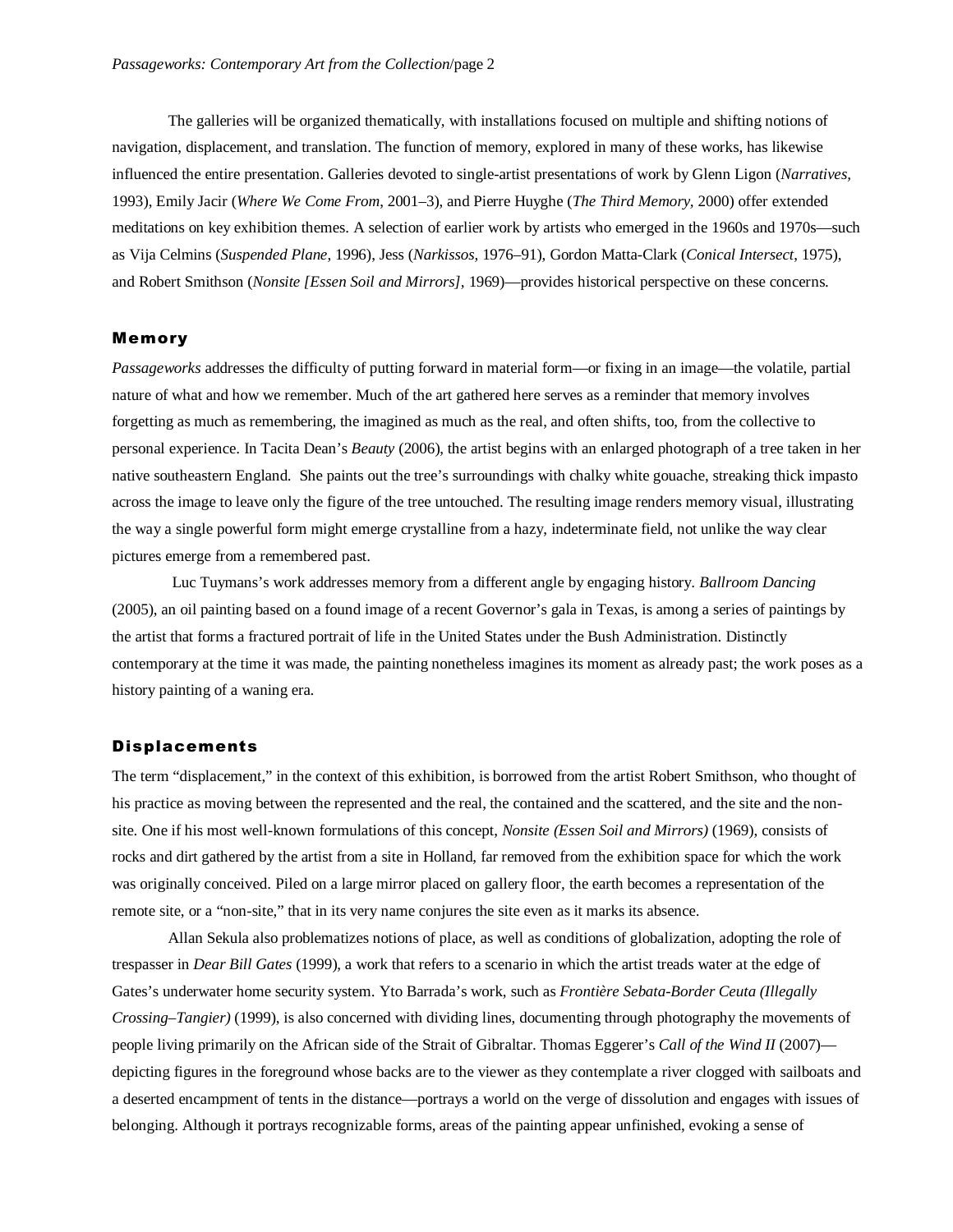The galleries will be organized thematically, with installations focused on multiple and shifting notions of navigation, displacement, and translation. The function of memory, explored in many of these works, has likewise influenced the entire presentation. Galleries devoted to single-artist presentations of work by Glenn Ligon (*Narratives,* 1993), Emily Jacir (*Where We Come From*, 2001–3), and Pierre Huyghe (*The Third Memory,* 2000) offer extended meditations on key exhibition themes. A selection of earlier work by artists who emerged in the 1960s and 1970s—such as Vija Celmins (*Suspended Plane,* 1996), Jess (*Narkissos,* 1976–91), Gordon Matta-Clark (*Conical Intersect*, 1975), and Robert Smithson (*Nonsite [Essen Soil and Mirrors],* 1969)—provides historical perspective on these concerns.

## Memory

*Passageworks* addresses the difficulty of putting forward in material form—or fixing in an image—the volatile, partial nature of what and how we remember. Much of the art gathered here serves as a reminder that memory involves forgetting as much as remembering, the imagined as much as the real, and often shifts, too, from the collective to personal experience. In Tacita Dean's *Beauty* (2006), the artist begins with an enlarged photograph of a tree taken in her native southeastern England. She paints out the tree's surroundings with chalky white gouache, streaking thick impasto across the image to leave only the figure of the tree untouched. The resulting image renders memory visual, illustrating the way a single powerful form might emerge crystalline from a hazy, indeterminate field, not unlike the way clear pictures emerge from a remembered past.

 Luc Tuymans's work addresses memory from a different angle by engaging history. *Ballroom Dancing*  (2005), an oil painting based on a found image of a recent Governor's gala in Texas, is among a series of paintings by the artist that forms a fractured portrait of life in the United States under the Bush Administration. Distinctly contemporary at the time it was made, the painting nonetheless imagines its moment as already past; the work poses as a history painting of a waning era.

#### Displacements

The term "displacement," in the context of this exhibition, is borrowed from the artist Robert Smithson, who thought of his practice as moving between the represented and the real, the contained and the scattered, and the site and the nonsite. One if his most well-known formulations of this concept, *Nonsite (Essen Soil and Mirrors)* (1969), consists of rocks and dirt gathered by the artist from a site in Holland, far removed from the exhibition space for which the work was originally conceived. Piled on a large mirror placed on gallery floor, the earth becomes a representation of the remote site, or a "non-site," that in its very name conjures the site even as it marks its absence.

Allan Sekula also problematizes notions of place, as well as conditions of globalization, adopting the role of trespasser in *Dear Bill Gates* (1999), a work that refers to a scenario in which the artist treads water at the edge of Gates's underwater home security system. Yto Barrada's work, such as *Frontière Sebata-Border Ceuta (Illegally Crossing–Tangier)* (1999), is also concerned with dividing lines, documenting through photography the movements of people living primarily on the African side of the Strait of Gibraltar. Thomas Eggerer's *Call of the Wind II* (2007) depicting figures in the foreground whose backs are to the viewer as they contemplate a river clogged with sailboats and a deserted encampment of tents in the distance—portrays a world on the verge of dissolution and engages with issues of belonging. Although it portrays recognizable forms, areas of the painting appear unfinished, evoking a sense of